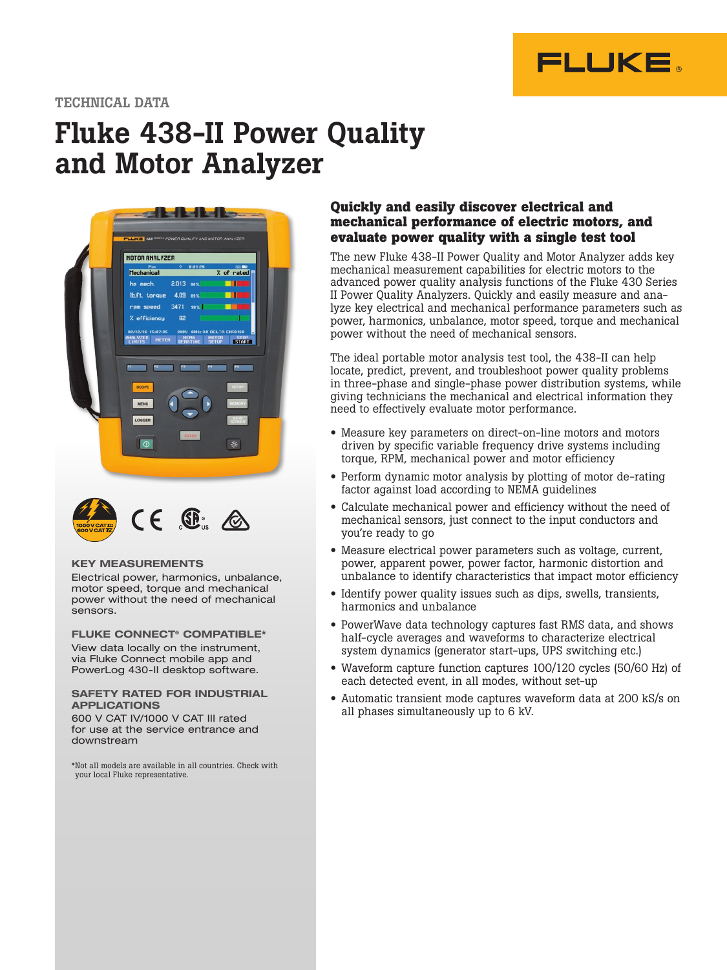

#### TECHNICAL DATA

## Fluke 438-II Power Quality and Motor Analyzer





#### KEY MEASUREMENTS

Electrical power, harmonics, unbalance, motor speed, torque and mechanical power without the need of mechanical sensors.

FLUKE CONNECT® COMPATIBLE\* View data locally on the instrument, via Fluke Connect mobile app and PowerLog 430-II desktop software.

#### SAFETY RATED FOR INDUSTRIAL APPLICATIONS 600 V CAT IV/1000 V CAT III rated

for use at the service entrance and downstream

\*Not all models are available in all countries. Check with your local Fluke representative.

#### **Quickly and easily discover electrical and mechanical performance of electric motors, and evaluate power quality with a single test tool**

The new Fluke 438-II Power Quality and Motor Analyzer adds key mechanical measurement capabilities for electric motors to the advanced power quality analysis functions of the Fluke 430 Series II Power Quality Analyzers. Quickly and easily measure and analyze key electrical and mechanical performance parameters such as power, harmonics, unbalance, motor speed, torque and mechanical power without the need of mechanical sensors.

The ideal portable motor analysis test tool, the 438-II can help locate, predict, prevent, and troubleshoot power quality problems in three-phase and single-phase power distribution systems, while giving technicians the mechanical and electrical information they need to effectively evaluate motor performance.

- Measure key parameters on direct-on-line motors and motors driven by specific variable frequency drive systems including torque, RPM, mechanical power and motor efficiency
- Perform dynamic motor analysis by plotting of motor de-rating factor against load according to NEMA guidelines
- Calculate mechanical power and efficiency without the need of mechanical sensors, just connect to the input conductors and you're ready to go
- Measure electrical power parameters such as voltage, current, power, apparent power, power factor, harmonic distortion and unbalance to identify characteristics that impact motor efficiency
- Identify power quality issues such as dips, swells, transients, harmonics and unbalance
- PowerWave data technology captures fast RMS data, and shows half-cycle averages and waveforms to characterize electrical system dynamics (generator start-ups, UPS switching etc.)
- Waveform capture function captures 100/120 cycles (50/60 Hz) of each detected event, in all modes, without set-up
- Automatic transient mode captures waveform data at 200 kS/s on all phases simultaneously up to 6 kV.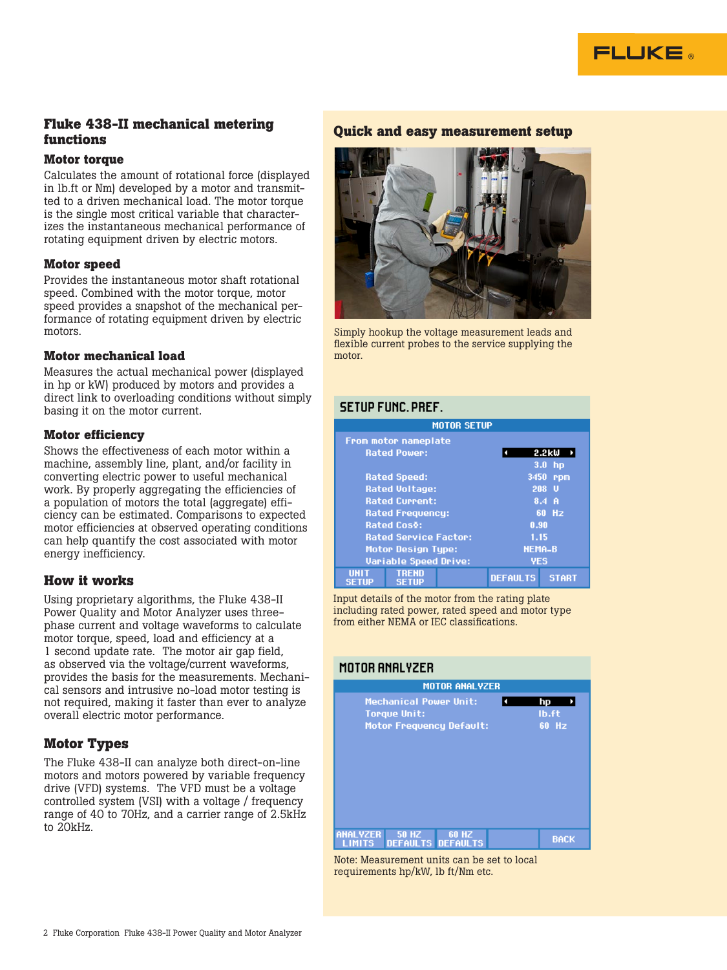

#### **Fluke 438-II mechanical metering functions**

#### **Motor torque**

Calculates the amount of rotational force (displayed in lb.ft or Nm) developed by a motor and transmitted to a driven mechanical load. The motor torque is the single most critical variable that characterizes the instantaneous mechanical performance of rotating equipment driven by electric motors.

#### **Motor speed**

Provides the instantaneous motor shaft rotational speed. Combined with the motor torque, motor speed provides a snapshot of the mechanical performance of rotating equipment driven by electric motors.

#### **Motor mechanical load**

Measures the actual mechanical power (displayed in hp or kW) produced by motors and provides a direct link to overloading conditions without simply basing it on the motor current.

#### **Motor efficiency**

Shows the effectiveness of each motor within a machine, assembly line, plant, and/or facility in converting electric power to useful mechanical work. By properly aggregating the efficiencies of a population of motors the total (aggregate) efficiency can be estimated. Comparisons to expected motor efficiencies at observed operating conditions can help quantify the cost associated with motor energy inefficiency.

#### **How it works**

Using proprietary algorithms, the Fluke 438-II Power Quality and Motor Analyzer uses threephase current and voltage waveforms to calculate motor torque, speed, load and efficiency at a 1 second update rate. The motor air gap field, as observed via the voltage/current waveforms, provides the basis for the measurements. Mechanical sensors and intrusive no-load motor testing is not required, making it faster than ever to analyze overall electric motor performance.

#### **Motor Types**

The Fluke 438-II can analyze both direct-on-line motors and motors powered by variable frequency drive (VFD) systems. The VFD must be a voltage controlled system (VSI) with a voltage / frequency range of 40 to 70Hz, and a carrier range of 2.5kHz to 20kHz.

#### **Quick and easy measurement setup**



Simply hookup the voltage measurement leads and flexible current probes to the service supplying the motor.

#### **SETUP FUNC, PREF.**

| <b>MOTOR SETUP</b>           |                             |                 |                  |  |
|------------------------------|-----------------------------|-----------------|------------------|--|
|                              | <b>From motor nameplate</b> |                 |                  |  |
|                              | <b>Rated Power:</b>         |                 | 2.2kW            |  |
|                              |                             |                 | 3.0 <sub>h</sub> |  |
|                              | <b>Rated Speed:</b>         | 3450            | rpm              |  |
|                              | <b>Rated Voltage:</b>       |                 | 208 U            |  |
|                              | <b>Rated Current:</b>       |                 | 8.4 <sub>h</sub> |  |
| <b>Rated Frequency:</b>      |                             |                 | 60 Hz            |  |
| <b>Rated Cos&amp;:</b>       |                             | 0.90            |                  |  |
| <b>Rated Service Factor:</b> |                             |                 | 1.15             |  |
| Motor Design Type:           |                             |                 | <b>NEMA-B</b>    |  |
| <b>Variable Speed Drive:</b> |                             | <b>YES</b>      |                  |  |
| <b>IINT</b><br>SETUP         | TREND<br><b>SETUP</b>       | <b>DEFAULTS</b> | <b>START</b>     |  |

Input details of the motor from the rating plate including rated power, rated speed and motor type from either NEMA or IEC classifications.

#### MOTOR ANALYZER

| <b>MOTOR ANALYZER</b>    |                                                      |                                 |  |                      |
|--------------------------|------------------------------------------------------|---------------------------------|--|----------------------|
|                          | <b>Mechanical Power Unit:</b><br><b>Torque Unit:</b> | <b>Motor Frequency Default:</b> |  | hp<br>Ib.ft<br>60 Hz |
| <b>MALYZER</b><br>LIMITS | <b>50 HZ</b><br><b>DEFAULTS DEFAULTS</b>             | <b>60 HZ</b>                    |  | <b>BACK</b>          |

Note: Measurement units can be set to local requirements hp/kW, lb ft/Nm etc.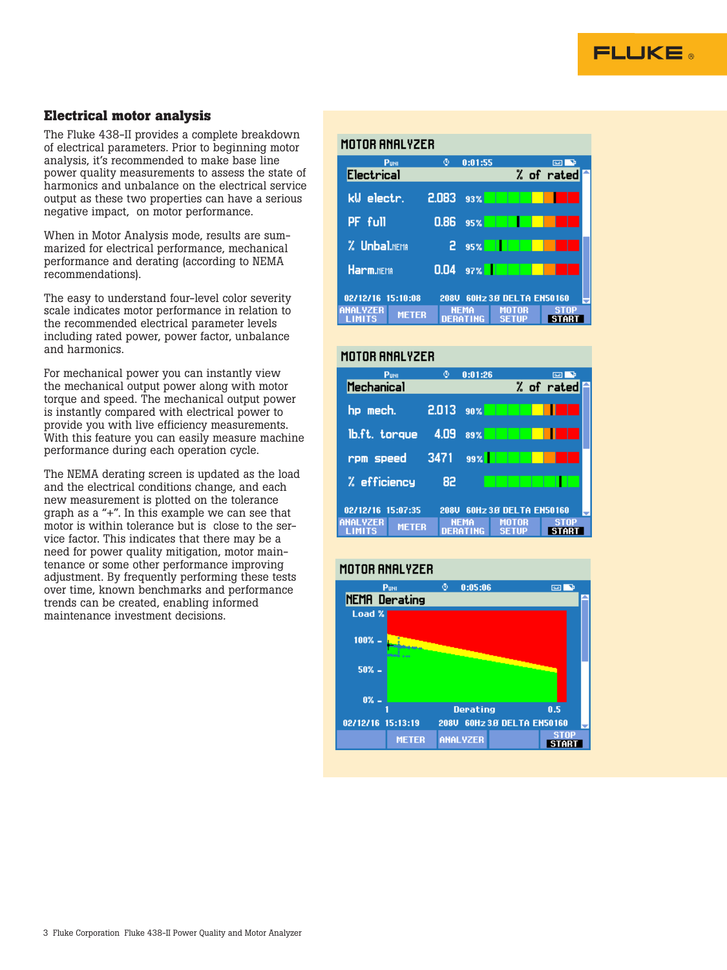

#### **Electrical motor analysis**

The Fluke 438-II provides a complete breakdown of electrical parameters. Prior to beginning motor analysis, it's recommended to make base line power quality measurements to assess the state of harmonics and unbalance on the electrical service output as these two properties can have a serious negative impact, on motor performance.

When in Motor Analysis mode, results are summarized for electrical performance, mechanical performance and derating (according to NEMA recommendations).

The easy to understand four-level color severity scale indicates motor performance in relation to the recommended electrical parameter levels including rated power, power factor, unbalance and harmonics.

For mechanical power you can instantly view the mechanical output power along with motor torque and speed. The mechanical output power is instantly compared with electrical power to provide you with live efficiency measurements. With this feature you can easily measure machine performance during each operation cycle.

The NEMA derating screen is updated as the load and the electrical conditions change, and each new measurement is plotted on the tolerance graph as a "+". In this example we can see that motor is within tolerance but is close to the service factor. This indicates that there may be a need for power quality mitigation, motor maintenance or some other performance improving adjustment. By frequently performing these tests over time, known benchmarks and performance trends can be created, enabling informed maintenance investment decisions.

#### MOTOR ANALYZER

| PUNI                            | ٥           | 0:01:55                 |                        |            |
|---------------------------------|-------------|-------------------------|------------------------|------------|
| <b>Electrical</b>               |             |                         |                        | % of rated |
| kW electr.                      | 2.083       | 93%                     |                        |            |
| PF full                         | 0.86        | 95%                     |                        |            |
| % Unbal.nema                    | 2           | 95%                     |                        |            |
| Harm.nEMA                       | 0.04        | 97%                     |                        |            |
| 02/12/16 15:10:08               | <b>208U</b> |                         | 60Hz 3.8 DELTA EN50160 |            |
| <b>ANALYZER</b><br><b>METER</b> |             | <b>NFMA</b><br>DERATING | MOTOR<br>SETTIP        | STOP       |

#### MOTOR ANAL VZER

| PuNI                             | ٥     | 0:01:26     |                        | <b>RAD</b> |  |
|----------------------------------|-------|-------------|------------------------|------------|--|
| Mechanical                       |       |             |                        | % of rated |  |
|                                  |       |             |                        |            |  |
| hp mech.                         | 2.013 | - 90%       |                        |            |  |
|                                  |       |             |                        |            |  |
| lb.ft. torque                    | 4.09  | 89%         |                        |            |  |
|                                  |       |             |                        |            |  |
| rpm speed                        | 3471  | 99%         |                        |            |  |
|                                  |       |             |                        |            |  |
| % efficiency                     | 82    |             |                        |            |  |
|                                  |       |             |                        |            |  |
| 02/12/16 15:07:35                | 208U  |             | 60Hz 3.8 DELTA EN50160 |            |  |
| <b>ANAL YZER</b><br><b>METER</b> |       | <b>NFMA</b> | MOTOR                  | STAP       |  |
| LIMITS                           |       | DERATING    | SETHE                  |            |  |

#### MOTOR ANALYZER

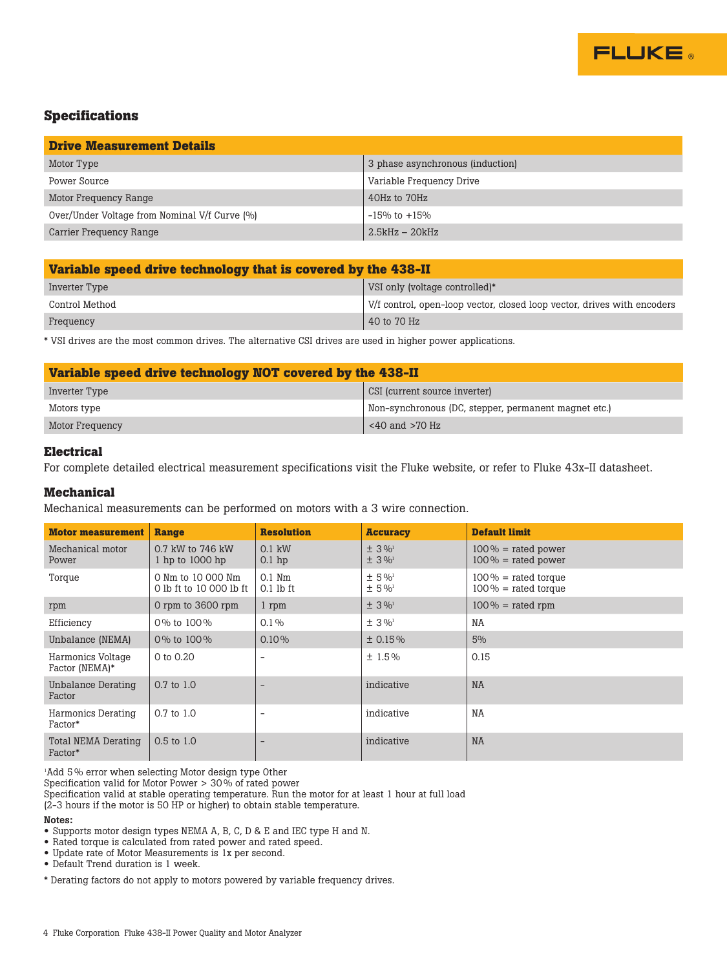

#### **Specifications**

| <b>Drive Measurement Details</b>              |                                  |  |  |
|-----------------------------------------------|----------------------------------|--|--|
| Motor Type                                    | 3 phase asynchronous (induction) |  |  |
| Power Source                                  | Variable Frequency Drive         |  |  |
| Motor Frequency Range                         | 40Hz to 70Hz                     |  |  |
| Over/Under Voltage from Nominal V/f Curve (%) | $-15\%$ to $+15\%$               |  |  |
| Carrier Frequency Range                       | $2.5kHz - 20kHz$                 |  |  |

| Variable speed drive technology that is covered by the 438-II |                                                                         |  |  |
|---------------------------------------------------------------|-------------------------------------------------------------------------|--|--|
| Inverter Type                                                 | VSI only (voltage controlled)*                                          |  |  |
| Control Method                                                | V/f control, open-loop vector, closed loop vector, drives with encoders |  |  |
| Frequency                                                     | 40 to 70 Hz                                                             |  |  |

\* VSI drives are the most common drives. The alternative CSI drives are used in higher power applications.

| Variable speed drive technology NOT covered by the 438-II |                                                      |  |  |
|-----------------------------------------------------------|------------------------------------------------------|--|--|
| Inverter Type                                             | CSI (current source inverter)                        |  |  |
| Motors type                                               | Non-synchronous (DC, stepper, permanent magnet etc.) |  |  |
| Motor Frequency                                           | $<$ 40 and $>$ 70 Hz                                 |  |  |

#### **Electrical**

For complete detailed electrical measurement specifications visit the Fluke website, or refer to Fluke 43x-II datasheet.

#### **Mechanical**

Mechanical measurements can be performed on motors with a 3 wire connection.

| <b>Motor measurement</b>            | Range                                        | <b>Resolution</b>        | <b>Accuracy</b>                                | <b>Default limit</b>                             |
|-------------------------------------|----------------------------------------------|--------------------------|------------------------------------------------|--------------------------------------------------|
| Mechanical motor<br>Power           | 0.7 kW to 746 kW<br>1 hp to 1000 hp          | $0.1$ kW<br>$0.1$ hp     | $± 3\%$ <sup>1</sup><br>$\pm 3\%$ <sup>1</sup> | $100\%$ = rated power<br>$100\%$ = rated power   |
| Torque                              | 0 Nm to 10 000 Nm<br>0 lb ft to 10 000 lb ft | $0.1$ Nm<br>$0.1$ lb ft  | $± 5\%$ <sup>1</sup><br>$± 5\%$                | $100\%$ = rated torque<br>$100\%$ = rated torque |
| rpm                                 | 0 rpm to 3600 rpm                            | 1 rpm                    | $± 3\%$ <sup>1</sup>                           | $100\%$ = rated rpm                              |
| Efficiency                          | 0% to 100%                                   | $0.1\%$                  | $± 3\%$                                        | <b>NA</b>                                        |
| Unbalance (NEMA)                    | 0% to 100%                                   | 0.10%                    | ± 0.15%                                        | 5%                                               |
| Harmonics Voltage<br>Factor (NEMA)* | 0 to 0.20                                    | $\overline{\phantom{0}}$ | ±1.5%                                          | 0.15                                             |
| Unbalance Derating<br>Factor        | $0.7$ to $1.0$                               | $\overline{\phantom{0}}$ | indicative                                     | <b>NA</b>                                        |
| Harmonics Derating<br>Factor*       | $0.7$ to $1.0$                               | $\overline{\phantom{0}}$ | indicative                                     | NA                                               |
| Total NEMA Derating<br>Factor*      | $0.5$ to $1.0$                               | $\overline{\phantom{0}}$ | indicative                                     | <b>NA</b>                                        |

1 Add 5 % error when selecting Motor design type Other

Specification valid for Motor Power > 30 % of rated power

Specification valid at stable operating temperature. Run the motor for at least 1 hour at full load

(2-3 hours if the motor is 50 HP or higher) to obtain stable temperature.

#### Notes:

• Supports motor design types NEMA A, B, C, D & E and IEC type H and N.

• Rated torque is calculated from rated power and rated speed.

• Update rate of Motor Measurements is 1x per second.

• Default Trend duration is 1 week.

\* Derating factors do not apply to motors powered by variable frequency drives.